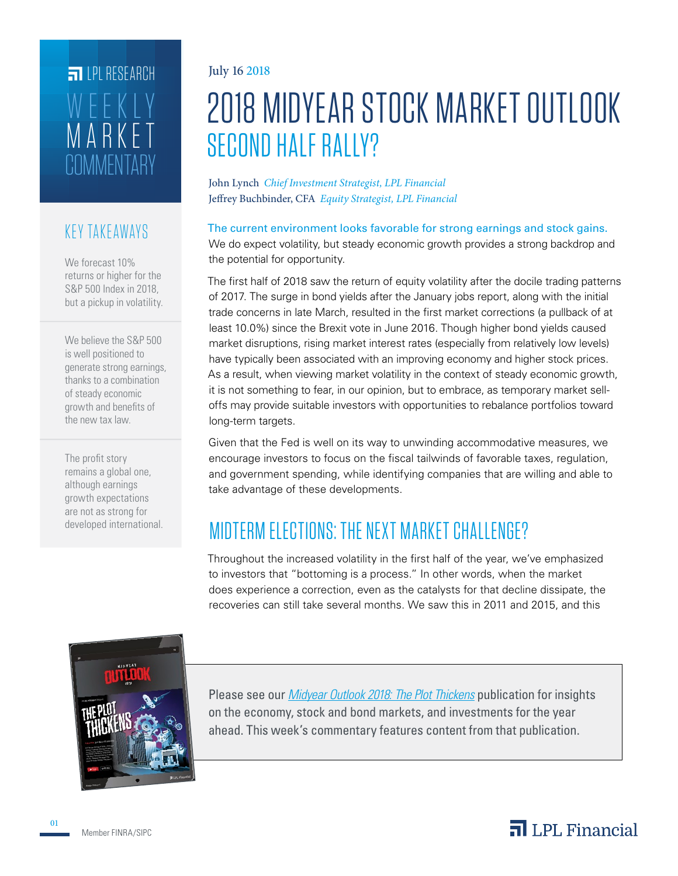## **COMMENTARY** MARKET WEEKLY **FILPI RESEARCH**

#### KEY TAKEAWAYS

We forecast 10% returns or higher for the S&P 500 Index in 2018, but a pickup in volatility.

We believe the S&P 500 is well positioned to generate strong earnings, thanks to a combination of steady economic growth and benefits of the new tax law.

The profit story remains a global one, although earnings growth expectations are not as strong for developed international.

#### July 16 2018

# 2018 MIDYEAR STOCK MARKET OUTLOOK SECOND HALF RALLY?

John Lynch *Chief Investment Strategist, LPL Financial* Jeffrey Buchbinder, CFA *Equity Strategist, LPL Financial*

The current environment looks favorable for strong earnings and stock gains. We do expect volatility, but steady economic growth provides a strong backdrop and the potential for opportunity.

The first half of 2018 saw the return of equity volatility after the docile trading patterns of 2017. The surge in bond yields after the January jobs report, along with the initial trade concerns in late March, resulted in the first market corrections (a pullback of at least 10.0%) since the Brexit vote in June 2016. Though higher bond yields caused market disruptions, rising market interest rates (especially from relatively low levels) have typically been associated with an improving economy and higher stock prices. As a result, when viewing market volatility in the context of steady economic growth, it is not something to fear, in our opinion, but to embrace, as temporary market selloffs may provide suitable investors with opportunities to rebalance portfolios toward long-term targets.

Given that the Fed is well on its way to unwinding accommodative measures, we encourage investors to focus on the fiscal tailwinds of favorable taxes, regulation, and government spending, while identifying companies that are willing and able to take advantage of these developments.

### MIDTERM ELECTIONS: THE NEXT MARKET CHALLENGE?

Throughout the increased volatility in the first half of the year, we've emphasized to investors that "bottoming is a process." In other words, when the market does experience a correction, even as the catalysts for that decline dissipate, the recoveries can still take several months. We saw this in 2011 and 2015, and this



Please see our *Midyear Outlook 2018: The Plot Thickens* publication for insights on the economy, stock and bond markets, and investments for the year ahead. This week's commentary features content from that publication.

Member FINRA/SIPC

#### $\overline{\mathbf{a}}$  LPL Financial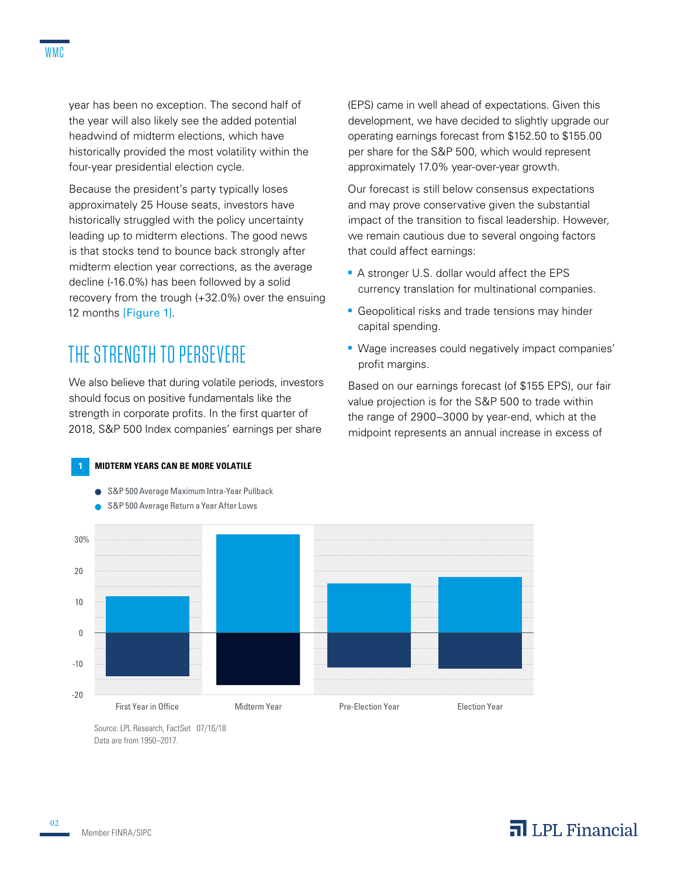year has been no exception. The second half of the year will also likely see the added potential headwind of midterm elections, which have historically provided the most volatility within the four-year presidential election cycle.

Because the president's party typically loses approximately 25 House seats, investors have historically struggled with the policy uncertainty leading up to midterm elections. The good news is that stocks tend to bounce back strongly after midterm election year corrections, as the average decline (-16.0%) has been followed by a solid recovery from the trough (+32.0%) over the ensuing 12 months [Figure 1].

### THE STRENGTH TO PERSEVERE

We also believe that during volatile periods, investors should focus on positive fundamentals like the strength in corporate profits. In the first quarter of 2018, S&P 500 Index companies' earnings per share

**1 MIDTERM YEARS CAN BE MORE VOLATILE**

● S&P 500 Average Maximum Intra-Year Pullback



Source: LPL Research, FactSet 07/16/18 Data are from 1950–2017.

(EPS) came in well ahead of expectations. Given this development, we have decided to slightly upgrade our operating earnings forecast from \$152.50 to \$155.00 per share for the S&P 500, which would represent approximately 17.0% year-over-year growth.

Our forecast is still below consensus expectations and may prove conservative given the substantial impact of the transition to fiscal leadership. However, we remain cautious due to several ongoing factors that could affect earnings:

- A stronger U.S. dollar would affect the EPS currency translation for multinational companies.
- Geopolitical risks and trade tensions may hinder capital spending.
- Wage increases could negatively impact companies' profit margins.

Based on our earnings forecast (of \$155 EPS), our fair value projection is for the S&P 500 to trade within the range of 2900–3000 by year-end, which at the midpoint represents an annual increase in excess of

#### $\overline{\mathbf{a}}$  LPL Financial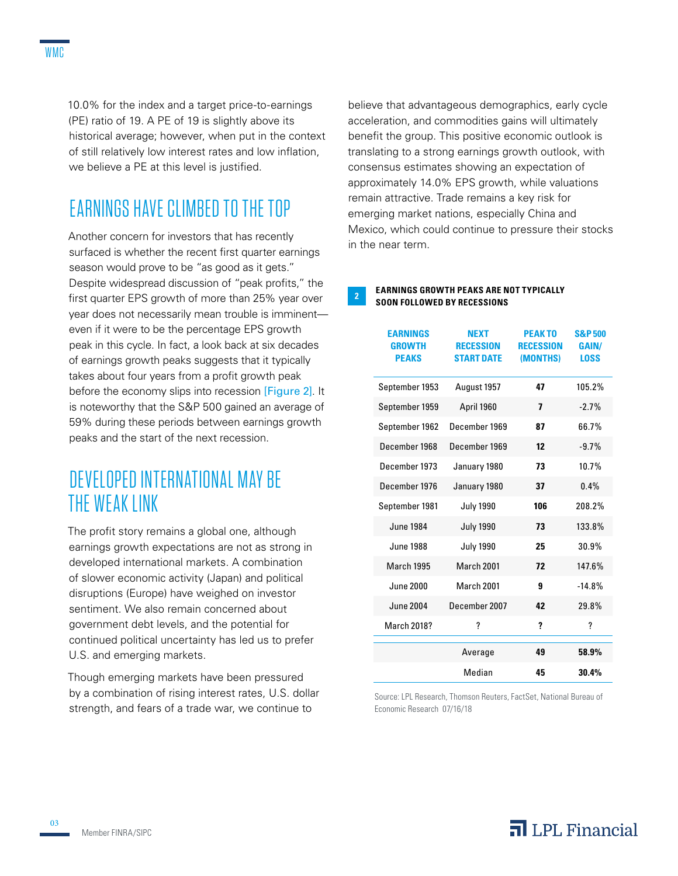10.0% for the index and a target price-to-earnings (PE) ratio of 19. A PE of 19 is slightly above its historical average; however, when put in the context of still relatively low interest rates and low inflation, we believe a PE at this level is justified.

### EARNINGS HAVE CLIMBED TO THE TOP

Another concern for investors that has recently surfaced is whether the recent first quarter earnings season would prove to be "as good as it gets." Despite widespread discussion of "peak profits," the first quarter EPS growth of more than 25% year over year does not necessarily mean trouble is imminent even if it were to be the percentage EPS growth peak in this cycle. In fact, a look back at six decades of earnings growth peaks suggests that it typically takes about four years from a profit growth peak before the economy slips into recession [Figure 2]. It is noteworthy that the S&P 500 gained an average of 59% during these periods between earnings growth peaks and the start of the next recession.

### DEVELOPED INTERNATIONAL MAY BE THE WEAK LINK

The profit story remains a global one, although earnings growth expectations are not as strong in developed international markets. A combination of slower economic activity (Japan) and political disruptions (Europe) have weighed on investor sentiment. We also remain concerned about government debt levels, and the potential for continued political uncertainty has led us to prefer U.S. and emerging markets.

Though emerging markets have been pressured by a combination of rising interest rates, U.S. dollar strength, and fears of a trade war, we continue to

believe that advantageous demographics, early cycle acceleration, and commodities gains will ultimately benefit the group. This positive economic outlook is translating to a strong earnings growth outlook, with consensus estimates showing an expectation of approximately 14.0% EPS growth, while valuations remain attractive. Trade remains a key risk for emerging market nations, especially China and Mexico, which could continue to pressure their stocks in the near term.

#### **EARNINGS GROWTH PEAKS ARE NOT TYPICALLY SOON FOLLOWED BY RECESSIONS**

| <b>EARNINGS</b><br><b>GROWTH</b><br><b>PEAKS</b> | <b>NEXT</b><br><b>RECESSION</b><br><b>START DATE</b> | <b>PEAKTO</b><br><b>RECESSION</b><br>(MONTHS) | <b>S&amp;P500</b><br><b>GAIN/</b><br><b>LOSS</b> |
|--------------------------------------------------|------------------------------------------------------|-----------------------------------------------|--------------------------------------------------|
| September 1953                                   | August 1957                                          | 47                                            | 105.2%                                           |
| September 1959                                   | April 1960                                           | 7                                             | $-2.7%$                                          |
| September 1962                                   | December 1969                                        | 87                                            | 66.7%                                            |
| December 1968                                    | December 1969                                        | 12                                            | $-9.7%$                                          |
| December 1973                                    | January 1980                                         | 73                                            | 10.7%                                            |
| December 1976                                    | January 1980                                         | 37                                            | $0.4\%$                                          |
| September 1981                                   | <b>July 1990</b>                                     | 106                                           | 208.2%                                           |
| <b>June 1984</b>                                 | <b>July 1990</b>                                     | 73                                            | 133.8%                                           |
| <b>June 1988</b>                                 | <b>July 1990</b>                                     | 25                                            | 30.9%                                            |
| <b>March 1995</b>                                | March 2001                                           | 72                                            | 147.6%                                           |
| June 2000                                        | March 2001                                           | 9                                             | $-14.8%$                                         |
| June 2004                                        | December 2007                                        | 42                                            | 29.8%                                            |
| March 2018?                                      | ?                                                    | ?                                             | ?                                                |
|                                                  | Average                                              | 49                                            | 58.9%                                            |
|                                                  | Median                                               | 45                                            | 30.4%                                            |

Source: LPL Research, Thomson Reuters, FactSet, National Bureau of Economic Research 07/16/18

03

#### $\overline{\mathbf{a}}$  LPL Financial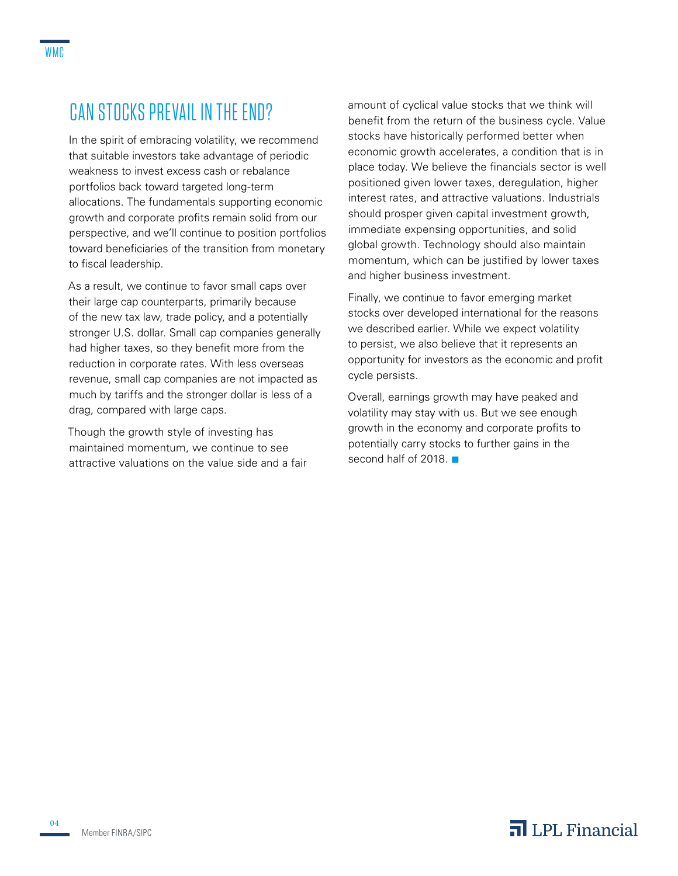### CAN STOCKS PREVAIL IN THE END?

In the spirit of embracing volatility, we recommend that suitable investors take advantage of periodic weakness to invest excess cash or rebalance portfolios back toward targeted long-term allocations. The fundamentals supporting economic growth and corporate profits remain solid from our perspective, and we'll continue to position portfolios toward beneficiaries of the transition from monetary to fiscal leadership.

As a result, we continue to favor small caps over their large cap counterparts, primarily because of the new tax law, trade policy, and a potentially stronger U.S. dollar. Small cap companies generally had higher taxes, so they benefit more from the reduction in corporate rates. With less overseas revenue, small cap companies are not impacted as much by tariffs and the stronger dollar is less of a drag, compared with large caps.

Though the growth style of investing has maintained momentum, we continue to see attractive valuations on the value side and a fair amount of cyclical value stocks that we think will benefit from the return of the business cycle. Value stocks have historically performed better when economic growth accelerates, a condition that is in place today. We believe the financials sector is well positioned given lower taxes, deregulation, higher interest rates, and attractive valuations. Industrials should prosper given capital investment growth, immediate expensing opportunities, and solid global growth. Technology should also maintain momentum, which can be justified by lower taxes and higher business investment.

Finally, we continue to favor emerging market stocks over developed international for the reasons we described earlier. While we expect volatility to persist, we also believe that it represents an opportunity for investors as the economic and profit cycle persists.

Overall, earnings growth may have peaked and volatility may stay with us. But we see enough growth in the economy and corporate profits to potentially carry stocks to further gains in the second half of 2018.  $\blacksquare$ 

04